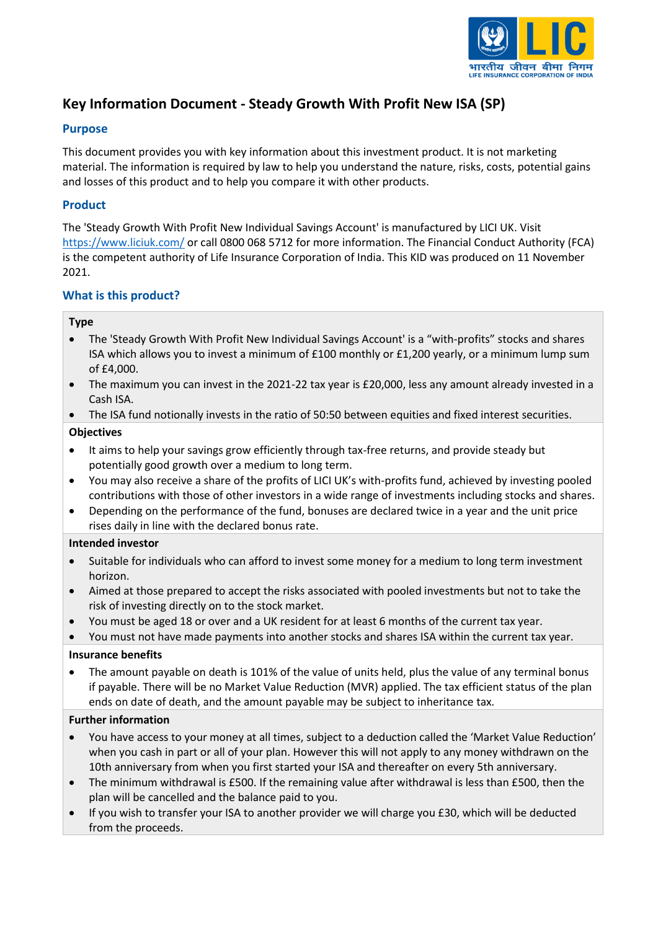

# **Key Information Document - Steady Growth With Profit New ISA (SP)**

## **Purpose**

This document provides you with key information about this investment product. It is not marketing material. The information is required by law to help you understand the nature, risks, costs, potential gains and losses of this product and to help you compare it with other products.

## **Product**

The 'Steady Growth With Profit New Individual Savings Account' is manufactured by LICI UK. Visit <https://www.liciuk.com/> or call 0800 068 5712 for more information. The Financial Conduct Authority (FCA) is the competent authority of Life Insurance Corporation of India. This KID was produced on 11 November 2021.

## **What is this product?**

## **Type**

- The 'Steady Growth With Profit New Individual Savings Account' is a "with-profits" stocks and shares ISA which allows you to invest a minimum of £100 monthly or £1,200 yearly, or a minimum lump sum of £4,000.
- The maximum you can invest in the 2021-22 tax year is £20,000, less any amount already invested in a Cash ISA.
- The ISA fund notionally invests in the ratio of 50:50 between equities and fixed interest securities.

## **Objectives**

- It aims to help your savings grow efficiently through tax-free returns, and provide steady but potentially good growth over a medium to long term.
- You may also receive a share of the profits of LICI UK's with-profits fund, achieved by investing pooled contributions with those of other investors in a wide range of investments including stocks and shares.
- Depending on the performance of the fund, bonuses are declared twice in a year and the unit price rises daily in line with the declared bonus rate.

## **Intended investor**

- Suitable for individuals who can afford to invest some money for a medium to long term investment horizon.
- Aimed at those prepared to accept the risks associated with pooled investments but not to take the risk of investing directly on to the stock market.
- You must be aged 18 or over and a UK resident for at least 6 months of the current tax year.

• You must not have made payments into another stocks and shares ISA within the current tax year.

## **Insurance benefits**

• The amount payable on death is 101% of the value of units held, plus the value of any terminal bonus if payable. There will be no Market Value Reduction (MVR) applied. The tax efficient status of the plan ends on date of death, and the amount payable may be subject to inheritance tax.

## **Further information**

- You have access to your money at all times, subject to a deduction called the 'Market Value Reduction' when you cash in part or all of your plan. However this will not apply to any money withdrawn on the 10th anniversary from when you first started your ISA and thereafter on every 5th anniversary.
- The minimum withdrawal is £500. If the remaining value after withdrawal is less than £500, then the plan will be cancelled and the balance paid to you.
- If you wish to transfer your ISA to another provider we will charge you £30, which will be deducted from the proceeds.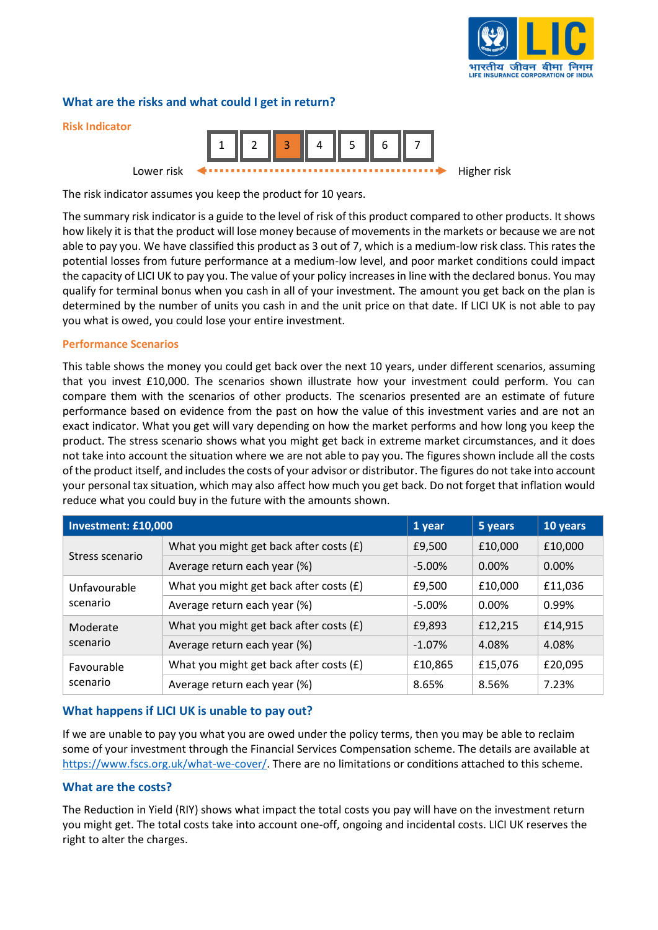

## **What are the risks and what could I get in return?**



The risk indicator assumes you keep the product for 10 years.

The summary risk indicator is a guide to the level of risk of this product compared to other products. It shows how likely it is that the product will lose money because of movements in the markets or because we are not able to pay you. We have classified this product as 3 out of 7, which is a medium-low risk class. This rates the potential losses from future performance at a medium-low level, and poor market conditions could impact the capacity of LICI UK to pay you. The value of your policy increases in line with the declared bonus. You may qualify for terminal bonus when you cash in all of your investment. The amount you get back on the plan is determined by the number of units you cash in and the unit price on that date. If LICI UK is not able to pay you what is owed, you could lose your entire investment.

#### **Performance Scenarios**

This table shows the money you could get back over the next 10 years, under different scenarios, assuming that you invest £10,000. The scenarios shown illustrate how your investment could perform. You can compare them with the scenarios of other products. The scenarios presented are an estimate of future performance based on evidence from the past on how the value of this investment varies and are not an exact indicator. What you get will vary depending on how the market performs and how long you keep the product. The stress scenario shows what you might get back in extreme market circumstances, and it does not take into account the situation where we are not able to pay you. The figures shown include all the costs of the product itself, and includes the costs of your advisor or distributor. The figures do not take into account your personal tax situation, which may also affect how much you get back. Do not forget that inflation would reduce what you could buy in the future with the amounts shown.

| Investment: £10,000      |                                           | 1 year    | 5 years  | 10 years |
|--------------------------|-------------------------------------------|-----------|----------|----------|
| Stress scenario          | What you might get back after costs $(f)$ | £9,500    | £10,000  | £10,000  |
|                          | Average return each year (%)              | $-5.00\%$ | 0.00%    | $0.00\%$ |
| Unfavourable<br>scenario | What you might get back after costs $(E)$ | £9,500    | £10,000  | £11,036  |
|                          | Average return each year (%)              | $-5.00\%$ | $0.00\%$ | 0.99%    |
| Moderate<br>scenario     | What you might get back after costs (£)   | £9,893    | £12,215  | £14,915  |
|                          | Average return each year (%)              | $-1.07%$  | 4.08%    | 4.08%    |
| Favourable<br>scenario   | What you might get back after costs $(f)$ | £10,865   | £15,076  | £20,095  |
|                          | Average return each year (%)              | 8.65%     | 8.56%    | 7.23%    |

## **What happens if LICI UK is unable to pay out?**

If we are unable to pay you what you are owed under the policy terms, then you may be able to reclaim some of your investment through the Financial Services Compensation scheme. The details are available at [https://www.fscs.org.uk/what-we-cover/.](https://www.fscs.org.uk/what-we-cover/) There are no limitations or conditions attached to this scheme.

## **What are the costs?**

The Reduction in Yield (RIY) shows what impact the total costs you pay will have on the investment return you might get. The total costs take into account one-off, ongoing and incidental costs. LICI UK reserves the right to alter the charges.